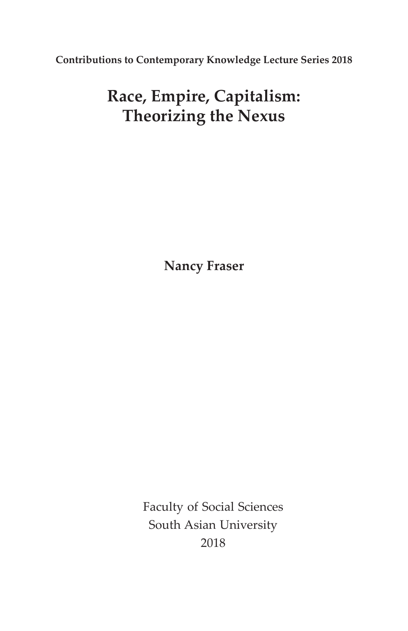**Contributions to Contemporary Knowledge Lecture Series 2018**

# **Race, Empire, Capitalism: Theorizing the Nexus**

**Nancy Fraser**

Faculty of Social Sciences South Asian University 2018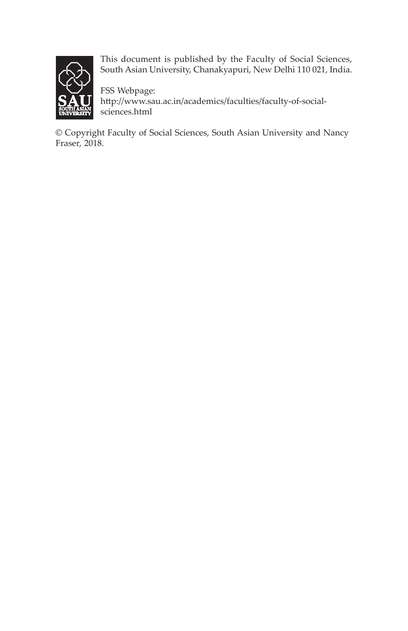

This document is published by the Faculty of Social Sciences, South Asian University, Chanakyapuri, New Delhi 110 021, India.

FSS Webpage: http://www.sau.ac.in/academics/faculties/faculty-of-socialsciences.html

© Copyright Faculty of Social Sciences, South Asian University and Nancy Fraser, 2018.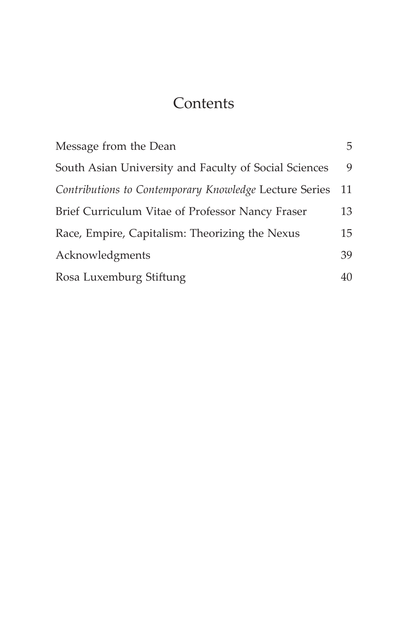### **Contents**

| Message from the Dean                                  | 5  |
|--------------------------------------------------------|----|
| South Asian University and Faculty of Social Sciences  | 9  |
| Contributions to Contemporary Knowledge Lecture Series | 11 |
| Brief Curriculum Vitae of Professor Nancy Fraser       | 13 |
| Race, Empire, Capitalism: Theorizing the Nexus         | 15 |
| Acknowledgments                                        | 39 |
| Rosa Luxemburg Stiftung                                | 40 |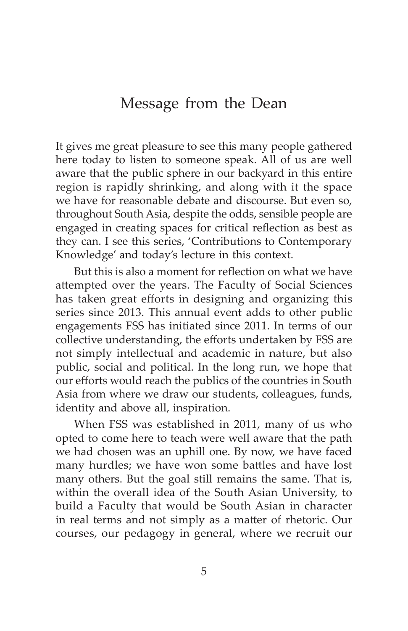### Message from the Dean

It gives me great pleasure to see this many people gathered here today to listen to someone speak. All of us are well aware that the public sphere in our backyard in this entire region is rapidly shrinking, and along with it the space we have for reasonable debate and discourse. But even so, throughout South Asia, despite the odds, sensible people are engaged in creating spaces for critical reflection as best as they can. I see this series, 'Contributions to Contemporary Knowledge' and today's lecture in this context.

But this is also a moment for reflection on what we have attempted over the years. The Faculty of Social Sciences has taken great efforts in designing and organizing this series since 2013. This annual event adds to other public engagements FSS has initiated since 2011. In terms of our collective understanding, the efforts undertaken by FSS are not simply intellectual and academic in nature, but also public, social and political. In the long run, we hope that our efforts would reach the publics of the countries in South Asia from where we draw our students, colleagues, funds, identity and above all, inspiration.

When FSS was established in 2011, many of us who opted to come here to teach were well aware that the path we had chosen was an uphill one. By now, we have faced many hurdles; we have won some battles and have lost many others. But the goal still remains the same. That is, within the overall idea of the South Asian University, to build a Faculty that would be South Asian in character in real terms and not simply as a matter of rhetoric. Our courses, our pedagogy in general, where we recruit our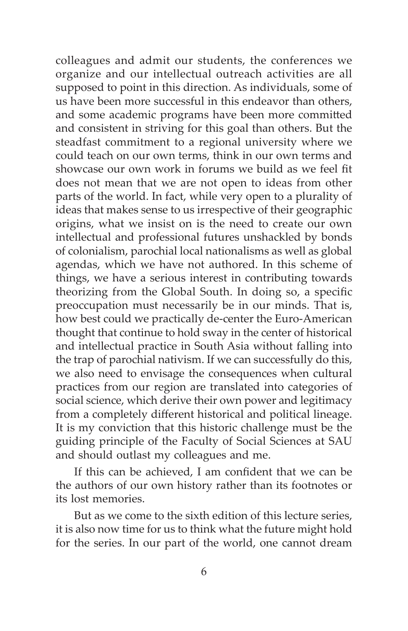colleagues and admit our students, the conferences we organize and our intellectual outreach activities are all supposed to point in this direction. As individuals, some of us have been more successful in this endeavor than others, and some academic programs have been more committed and consistent in striving for this goal than others. But the steadfast commitment to a regional university where we could teach on our own terms, think in our own terms and showcase our own work in forums we build as we feel fit does not mean that we are not open to ideas from other parts of the world. In fact, while very open to a plurality of ideas that makes sense to us irrespective of their geographic origins, what we insist on is the need to create our own intellectual and professional futures unshackled by bonds of colonialism, parochial local nationalisms as well as global agendas, which we have not authored. In this scheme of things, we have a serious interest in contributing towards theorizing from the Global South. In doing so, a specific preoccupation must necessarily be in our minds. That is, how best could we practically de-center the Euro-American thought that continue to hold sway in the center of historical and intellectual practice in South Asia without falling into the trap of parochial nativism. If we can successfully do this, we also need to envisage the consequences when cultural practices from our region are translated into categories of social science, which derive their own power and legitimacy from a completely different historical and political lineage. It is my conviction that this historic challenge must be the guiding principle of the Faculty of Social Sciences at SAU and should outlast my colleagues and me.

If this can be achieved, I am confident that we can be the authors of our own history rather than its footnotes or its lost memories.

But as we come to the sixth edition of this lecture series, it is also now time for us to think what the future might hold for the series. In our part of the world, one cannot dream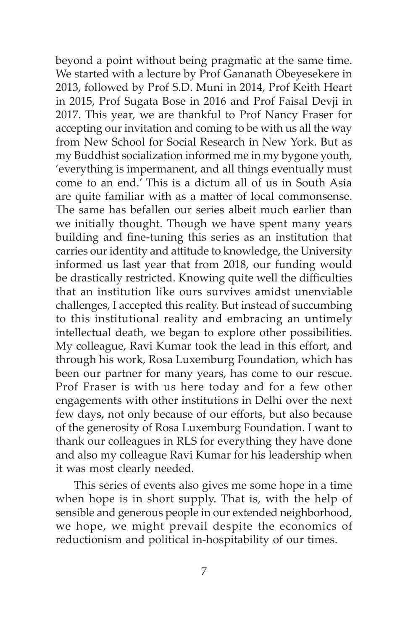beyond a point without being pragmatic at the same time. We started with a lecture by Prof Gananath Obeyesekere in 2013, followed by Prof S.D. Muni in 2014, Prof Keith Heart in 2015, Prof Sugata Bose in 2016 and Prof Faisal Devji in 2017. This year, we are thankful to Prof Nancy Fraser for accepting our invitation and coming to be with us all the way from New School for Social Research in New York. But as my Buddhist socialization informed me in my bygone youth, 'everything is impermanent, and all things eventually must come to an end.' This is a dictum all of us in South Asia are quite familiar with as a matter of local commonsense. The same has befallen our series albeit much earlier than we initially thought. Though we have spent many years building and fine-tuning this series as an institution that carries our identity and attitude to knowledge, the University informed us last year that from 2018, our funding would be drastically restricted. Knowing quite well the difficulties that an institution like ours survives amidst unenviable challenges, I accepted this reality. But instead of succumbing to this institutional reality and embracing an untimely intellectual death, we began to explore other possibilities. My colleague, Ravi Kumar took the lead in this effort, and through his work, Rosa Luxemburg Foundation, which has been our partner for many years, has come to our rescue. Prof Fraser is with us here today and for a few other engagements with other institutions in Delhi over the next few days, not only because of our efforts, but also because of the generosity of Rosa Luxemburg Foundation. I want to thank our colleagues in RLS for everything they have done and also my colleague Ravi Kumar for his leadership when it was most clearly needed.

This series of events also gives me some hope in a time when hope is in short supply. That is, with the help of sensible and generous people in our extended neighborhood, we hope, we might prevail despite the economics of reductionism and political in-hospitability of our times.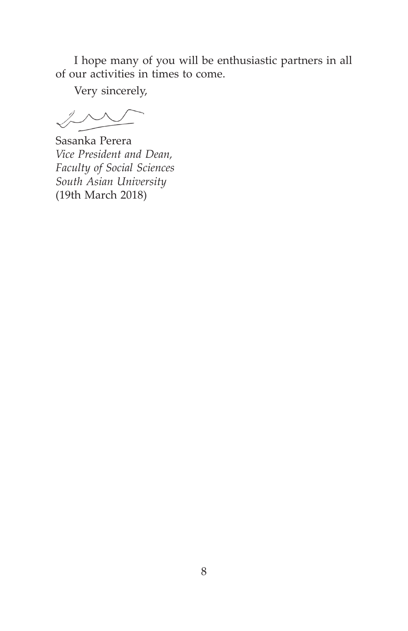I hope many of you will be enthusiastic partners in all of our activities in times to come.

Very sincerely,

 $\frac{1}{2}$ 

Sasanka Perera *Vice President and Dean, Faculty of Social Sciences South Asian University*  (19th March 2018)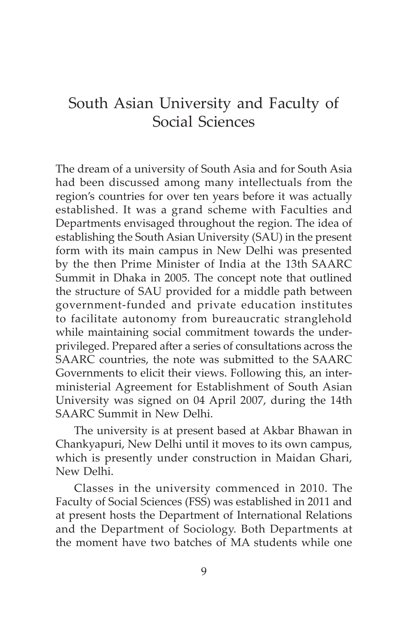### South Asian University and Faculty of Social Sciences

The dream of a university of South Asia and for South Asia had been discussed among many intellectuals from the region's countries for over ten years before it was actually established. It was a grand scheme with Faculties and Departments envisaged throughout the region. The idea of establishing the South Asian University (SAU) in the present form with its main campus in New Delhi was presented by the then Prime Minister of India at the 13th SAARC Summit in Dhaka in 2005. The concept note that outlined the structure of SAU provided for a middle path between government-funded and private education institutes to facilitate autonomy from bureaucratic stranglehold while maintaining social commitment towards the underprivileged. Prepared after a series of consultations across the SAARC countries, the note was submitted to the SAARC Governments to elicit their views. Following this, an interministerial Agreement for Establishment of South Asian University was signed on 04 April 2007, during the 14th SAARC Summit in New Delhi.

The university is at present based at Akbar Bhawan in Chankyapuri, New Delhi until it moves to its own campus, which is presently under construction in Maidan Ghari, New Delhi.

Classes in the university commenced in 2010. The Faculty of Social Sciences (FSS) was established in 2011 and at present hosts the Department of International Relations and the Department of Sociology. Both Departments at the moment have two batches of MA students while one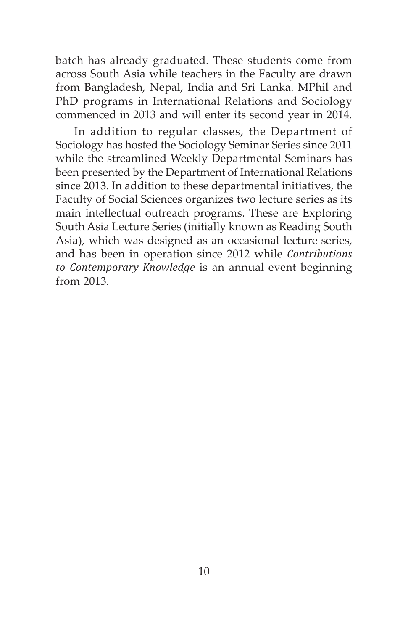batch has already graduated. These students come from across South Asia while teachers in the Faculty are drawn from Bangladesh, Nepal, India and Sri Lanka. MPhil and PhD programs in International Relations and Sociology commenced in 2013 and will enter its second year in 2014.

In addition to regular classes, the Department of Sociology has hosted the Sociology Seminar Series since 2011 while the streamlined Weekly Departmental Seminars has been presented by the Department of International Relations since 2013. In addition to these departmental initiatives, the Faculty of Social Sciences organizes two lecture series as its main intellectual outreach programs. These are Exploring South Asia Lecture Series (initially known as Reading South Asia), which was designed as an occasional lecture series, and has been in operation since 2012 while *Contributions to Contemporary Knowledge* is an annual event beginning from 2013.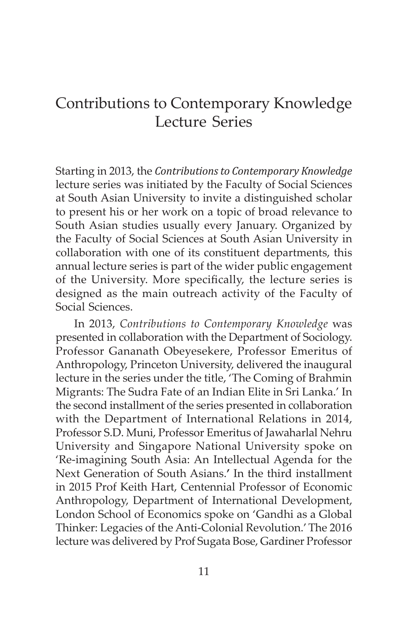### Contributions to Contemporary Knowledge Lecture Series

Starting in 2013, the *Contributions to Contemporary Knowledge* lecture series was initiated by the Faculty of Social Sciences at South Asian University to invite a distinguished scholar to present his or her work on a topic of broad relevance to South Asian studies usually every January. Organized by the Faculty of Social Sciences at South Asian University in collaboration with one of its constituent departments, this annual lecture series is part of the wider public engagement of the University. More specifically, the lecture series is designed as the main outreach activity of the Faculty of Social Sciences.

In 2013, *Contributions to Contemporary Knowledge* was presented in collaboration with the Department of Sociology. Professor Gananath Obeyesekere, Professor Emeritus of Anthropology, Princeton University, delivered the inaugural lecture in the series under the title, 'The Coming of Brahmin Migrants: The Sudra Fate of an Indian Elite in Sri Lanka.' In the second installment of the series presented in collaboration with the Department of International Relations in 2014, Professor S.D. Muni, Professor Emeritus of Jawaharlal Nehru University and Singapore National University spoke on 'Re-imagining South Asia: An Intellectual Agenda for the Next Generation of South Asians.**'** In the third installment in 2015 Prof Keith Hart, Centennial Professor of Economic Anthropology, Department of International Development, London School of Economics spoke on 'Gandhi as a Global Thinker: Legacies of the Anti-Colonial Revolution.' The 2016 lecture was delivered by Prof Sugata Bose, Gardiner Professor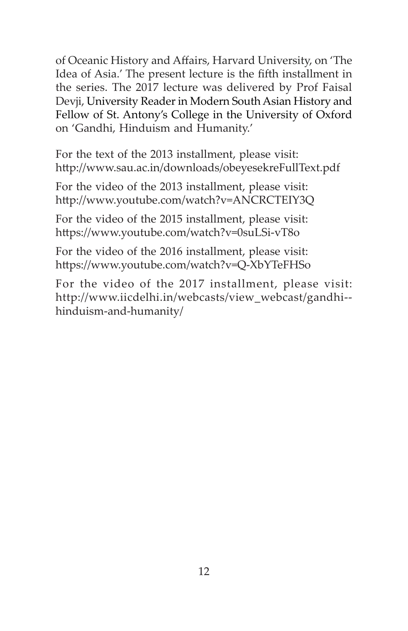of Oceanic History and Affairs, Harvard University, on 'The Idea of Asia.' The present lecture is the fifth installment in the series. The 2017 lecture was delivered by Prof Faisal Devji, University Reader in Modern South Asian History and Fellow of St. Antony's College in the University of Oxford on 'Gandhi, Hinduism and Humanity.'

For the text of the 2013 installment, please visit: http://www.sau.ac.in/downloads/obeyesekreFullText.pdf

For the video of the 2013 installment, please visit: http://www.youtube.com/watch?v=ANCRCTEIY3Q

For the video of the 2015 installment, please visit: https://www.youtube.com/watch?v=0suLSi-vT8o

For the video of the 2016 installment, please visit: https://www.youtube.com/watch?v=Q-XbYTeFHSo

For the video of the 2017 installment, please visit: http://www.iicdelhi.in/webcasts/view\_webcast/gandhi- hinduism-and-humanity/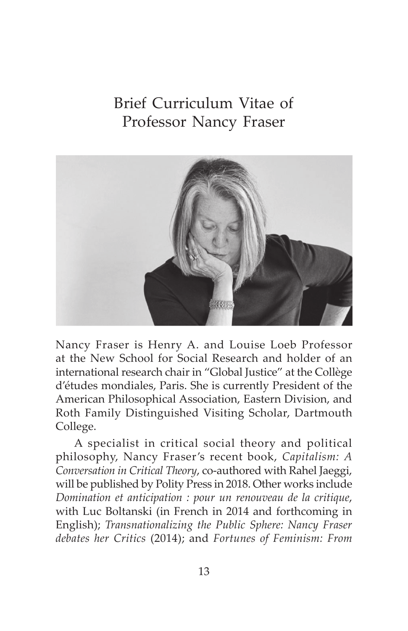# Brief Curriculum Vitae of Professor Nancy Fraser



Nancy Fraser is Henry A. and Louise Loeb Professor at the New School for Social Research and holder of an international research chair in "Global Justice" at the Collège d'études mondiales, Paris. She is currently President of the American Philosophical Association, Eastern Division, and Roth Family Distinguished Visiting Scholar, Dartmouth College.

A specialist in critical social theory and political philosophy, Nancy Fraser's recent book, *Capitalism: A Conversation in Critical Theory*, co-authored with Rahel Jaeggi, will be published by Polity Press in 2018. Other works include *Domination et anticipation : pour un renouveau de la critique*, with Luc Boltanski (in French in 2014 and forthcoming in English); *Transnationalizing the Public Sphere: Nancy Fraser debates her Critics* (2014); and *Fortunes of Feminism: From*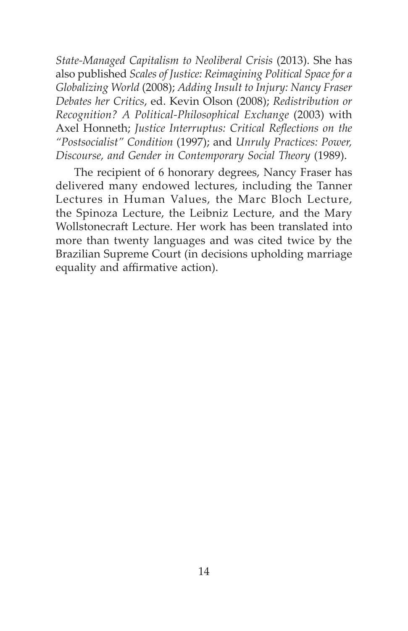*State-Managed Capitalism to Neoliberal Crisis* (2013). She has also published *Scales of Justice: Reimagining Political Space for a Globalizing World* (2008); *Adding Insult to Injury: Nancy Fraser Debates her Critics*, ed. Kevin Olson (2008); *Redistribution or Recognition? A Political-Philosophical Exchange* (2003) with Axel Honneth; *Justice Interruptus: Critical Reflections on the "Postsocialist" Condition* (1997); and *Unruly Practices: Power, Discourse, and Gender in Contemporary Social Theory* (1989).

The recipient of 6 honorary degrees, Nancy Fraser has delivered many endowed lectures, including the Tanner Lectures in Human Values, the Marc Bloch Lecture, the Spinoza Lecture, the Leibniz Lecture, and the Mary Wollstonecraft Lecture. Her work has been translated into more than twenty languages and was cited twice by the Brazilian Supreme Court (in decisions upholding marriage equality and affirmative action).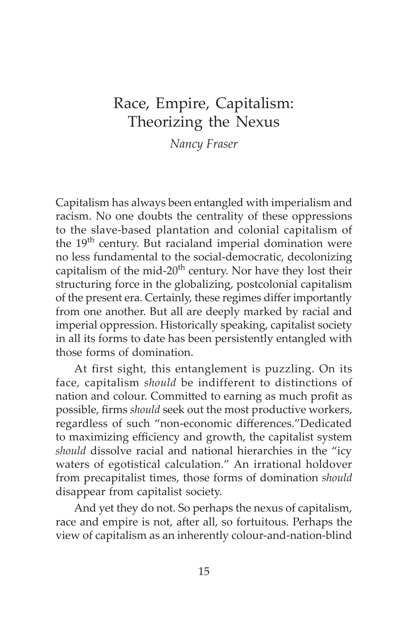### Race, Empire, Capitalism: Theorizing the Nexus

*Nancy Fraser*

Capitalism has always been entangled with imperialism and racism. No one doubts the centrality of these oppressions to the slave-based plantation and colonial capitalism of the 19<sup>th</sup> century. But racialand imperial domination were no less fundamental to the social-democratic, decolonizing capitalism of the mid- $20<sup>th</sup>$  century. Nor have they lost their structuring force in the globalizing, postcolonial capitalism of the present era. Certainly, these regimes differ importantly from one another. But all are deeply marked by racial and imperial oppression. Historically speaking, capitalist society in all its forms to date has been persistently entangled with those forms of domination.

At first sight, this entanglement is puzzling. On its face, capitalism *should* be indifferent to distinctions of nation and colour. Committed to earning as much profit as possible, firms *should* seek out the most productive workers, regardless of such "non-economic differences."Dedicated to maximizing efficiency and growth, the capitalist system *should* dissolve racial and national hierarchies in the "icy waters of egotistical calculation." An irrational holdover from precapitalist times, those forms of domination *should*  disappear from capitalist society.

And yet they do not. So perhaps the nexus of capitalism, race and empire is not, after all, so fortuitous. Perhaps the view of capitalism as an inherently colour-and-nation-blind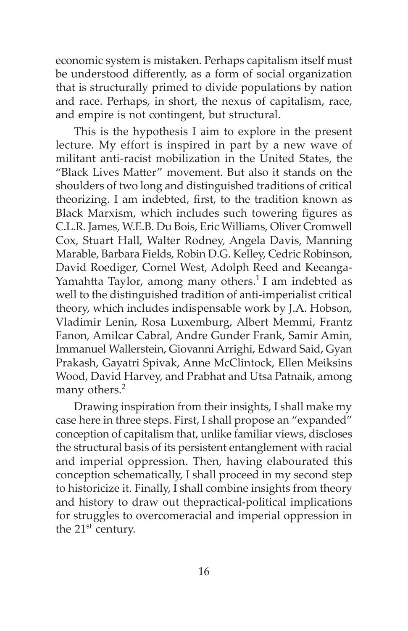economic system is mistaken. Perhaps capitalism itself must be understood differently, as a form of social organization that is structurally primed to divide populations by nation and race. Perhaps, in short, the nexus of capitalism, race, and empire is not contingent, but structural.

This is the hypothesis I aim to explore in the present lecture. My effort is inspired in part by a new wave of militant anti-racist mobilization in the United States, the "Black Lives Matter" movement. But also it stands on the shoulders of two long and distinguished traditions of critical theorizing. I am indebted, first, to the tradition known as Black Marxism, which includes such towering figures as C.L.R. James, W.E.B. Du Bois, Eric Williams, Oliver Cromwell Cox, Stuart Hall, Walter Rodney, Angela Davis, Manning Marable, Barbara Fields, Robin D.G. Kelley, Cedric Robinson, David Roediger, Cornel West, Adolph Reed and Keeanga-Yamahtta Taylor, among many others.<sup>1</sup> I am indebted as well to the distinguished tradition of anti-imperialist critical theory, which includes indispensable work by J.A. Hobson, Vladimir Lenin, Rosa Luxemburg, Albert Memmi, Frantz Fanon, Amilcar Cabral, Andre Gunder Frank, Samir Amin, Immanuel Wallerstein, Giovanni Arrighi, Edward Said, Gyan Prakash, Gayatri Spivak, Anne McClintock, Ellen Meiksins Wood, David Harvey, and Prabhat and Utsa Patnaik, among many others.<sup>2</sup>

Drawing inspiration from their insights, I shall make my case here in three steps. First, I shall propose an "expanded" conception of capitalism that, unlike familiar views, discloses the structural basis of its persistent entanglement with racial and imperial oppression. Then, having elabourated this conception schematically, I shall proceed in my second step to historicize it. Finally, I shall combine insights from theory and history to draw out thepractical-political implications for struggles to overcomeracial and imperial oppression in the  $21<sup>st</sup>$  century.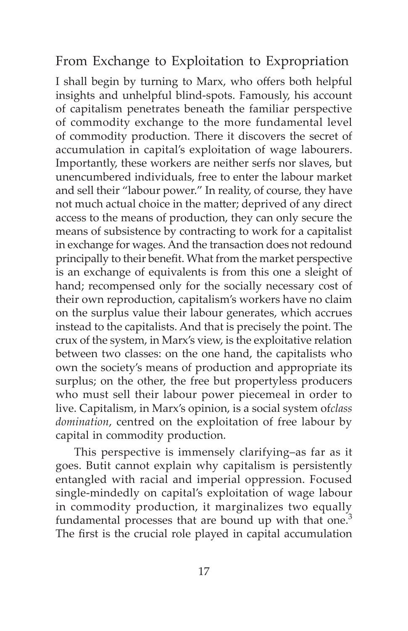#### From Exchange to Exploitation to Expropriation

I shall begin by turning to Marx, who offers both helpful insights and unhelpful blind-spots. Famously, his account of capitalism penetrates beneath the familiar perspective of commodity exchange to the more fundamental level of commodity production. There it discovers the secret of accumulation in capital's exploitation of wage labourers. Importantly, these workers are neither serfs nor slaves, but unencumbered individuals, free to enter the labour market and sell their "labour power." In reality, of course, they have not much actual choice in the matter; deprived of any direct access to the means of production, they can only secure the means of subsistence by contracting to work for a capitalist in exchange for wages. And the transaction does not redound principally to their benefit. What from the market perspective is an exchange of equivalents is from this one a sleight of hand; recompensed only for the socially necessary cost of their own reproduction, capitalism's workers have no claim on the surplus value their labour generates, which accrues instead to the capitalists. And that is precisely the point. The crux of the system, in Marx's view, is the exploitative relation between two classes: on the one hand, the capitalists who own the society's means of production and appropriate its surplus; on the other, the free but propertyless producers who must sell their labour power piecemeal in order to live. Capitalism, in Marx's opinion, is a social system of*class domination*, centred on the exploitation of free labour by capital in commodity production.

This perspective is immensely clarifying–as far as it goes. Butit cannot explain why capitalism is persistently entangled with racial and imperial oppression. Focused single-mindedly on capital's exploitation of wage labour in commodity production, it marginalizes two equally fundamental processes that are bound up with that one. $3$ The first is the crucial role played in capital accumulation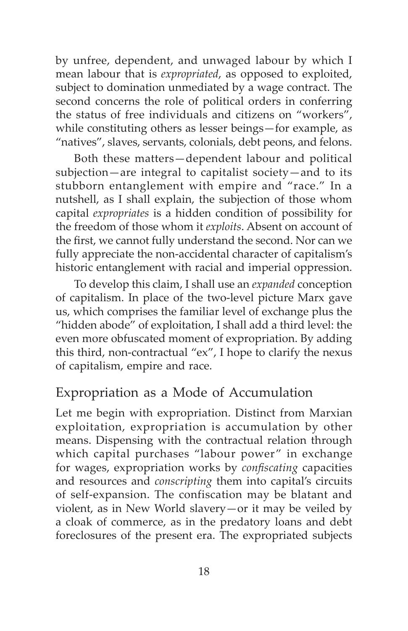by unfree, dependent, and unwaged labour by which I mean labour that is *expropriated*, as opposed to exploited, subject to domination unmediated by a wage contract. The second concerns the role of political orders in conferring the status of free individuals and citizens on "workers", while constituting others as lesser beings—for example, as "natives", slaves, servants, colonials, debt peons, and felons.

Both these matters—dependent labour and political subjection—are integral to capitalist society—and to its stubborn entanglement with empire and "race." In a nutshell, as I shall explain, the subjection of those whom capital *expropriates* is a hidden condition of possibility for the freedom of those whom it *exploits*. Absent on account of the first, we cannot fully understand the second. Nor can we fully appreciate the non-accidental character of capitalism's historic entanglement with racial and imperial oppression.

To develop this claim, I shall use an *expanded* conception of capitalism. In place of the two-level picture Marx gave us, which comprises the familiar level of exchange plus the "hidden abode" of exploitation, I shall add a third level: the even more obfuscated moment of expropriation. By adding this third, non-contractual "ex", I hope to clarify the nexus of capitalism, empire and race.

#### Expropriation as a Mode of Accumulation

Let me begin with expropriation. Distinct from Marxian exploitation, expropriation is accumulation by other means. Dispensing with the contractual relation through which capital purchases "labour power" in exchange for wages, expropriation works by *confiscating* capacities and resources and *conscripting* them into capital's circuits of self-expansion. The confiscation may be blatant and violent, as in New World slavery—or it may be veiled by a cloak of commerce, as in the predatory loans and debt foreclosures of the present era. The expropriated subjects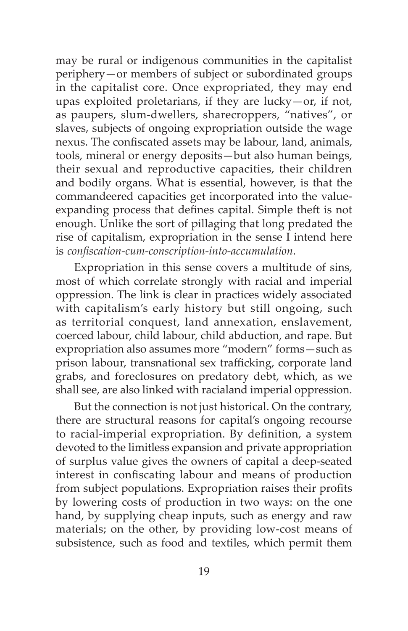may be rural or indigenous communities in the capitalist periphery—or members of subject or subordinated groups in the capitalist core. Once expropriated, they may end upas exploited proletarians, if they are lucky—or, if not, as paupers, slum-dwellers, sharecroppers, "natives", or slaves, subjects of ongoing expropriation outside the wage nexus. The confiscated assets may be labour, land, animals, tools, mineral or energy deposits—but also human beings, their sexual and reproductive capacities, their children and bodily organs. What is essential, however, is that the commandeered capacities get incorporated into the valueexpanding process that defines capital. Simple theft is not enough. Unlike the sort of pillaging that long predated the rise of capitalism, expropriation in the sense I intend here is *confiscation-cum-conscription-into-accumulation*.

Expropriation in this sense covers a multitude of sins, most of which correlate strongly with racial and imperial oppression. The link is clear in practices widely associated with capitalism's early history but still ongoing, such as territorial conquest, land annexation, enslavement, coerced labour, child labour, child abduction, and rape. But expropriation also assumes more "modern" forms—such as prison labour, transnational sex trafficking, corporate land grabs, and foreclosures on predatory debt, which, as we shall see, are also linked with racialand imperial oppression.

But the connection is not just historical. On the contrary, there are structural reasons for capital's ongoing recourse to racial-imperial expropriation. By definition, a system devoted to the limitless expansion and private appropriation of surplus value gives the owners of capital a deep-seated interest in confiscating labour and means of production from subject populations. Expropriation raises their profits by lowering costs of production in two ways: on the one hand, by supplying cheap inputs, such as energy and raw materials; on the other, by providing low-cost means of subsistence, such as food and textiles, which permit them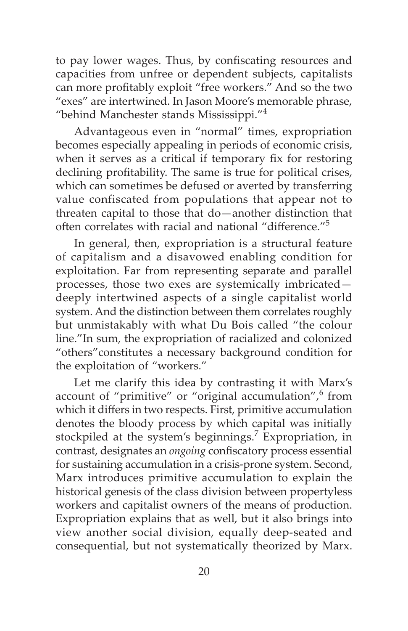to pay lower wages. Thus, by confiscating resources and capacities from unfree or dependent subjects, capitalists can more profitably exploit "free workers." And so the two "exes" are intertwined. In Jason Moore's memorable phrase, "behind Manchester stands Mississippi."<sup>4</sup>

Advantageous even in "normal" times, expropriation becomes especially appealing in periods of economic crisis, when it serves as a critical if temporary fix for restoring declining profitability. The same is true for political crises, which can sometimes be defused or averted by transferring value confiscated from populations that appear not to threaten capital to those that do—another distinction that often correlates with racial and national "difference."<sup>5</sup>

In general, then, expropriation is a structural feature of capitalism and a disavowed enabling condition for exploitation. Far from representing separate and parallel processes, those two exes are systemically imbricated deeply intertwined aspects of a single capitalist world system. And the distinction between them correlates roughly but unmistakably with what Du Bois called "the colour line."In sum, the expropriation of racialized and colonized "others"constitutes a necessary background condition for the exploitation of "workers."

Let me clarify this idea by contrasting it with Marx's account of "primitive" or "original accumulation", from which it differs in two respects. First, primitive accumulation denotes the bloody process by which capital was initially stockpiled at the system's beginnings.<sup>7</sup> Expropriation, in contrast, designates an *ongoing* confiscatory process essential for sustaining accumulation in a crisis-prone system. Second, Marx introduces primitive accumulation to explain the historical genesis of the class division between propertyless workers and capitalist owners of the means of production. Expropriation explains that as well, but it also brings into view another social division, equally deep-seated and consequential, but not systematically theorized by Marx.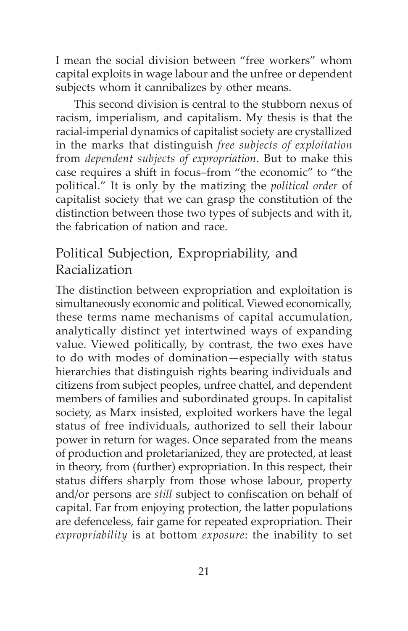I mean the social division between "free workers" whom capital exploits in wage labour and the unfree or dependent subjects whom it cannibalizes by other means.

This second division is central to the stubborn nexus of racism, imperialism, and capitalism. My thesis is that the racial-imperial dynamics of capitalist society are crystallized in the marks that distinguish *free subjects of exploitation*  from *dependent subjects of expropriation*. But to make this case requires a shift in focus–from "the economic" to "the political." It is only by the matizing the *political order* of capitalist society that we can grasp the constitution of the distinction between those two types of subjects and with it, the fabrication of nation and race.

#### Political Subjection, Expropriability, and Racialization

The distinction between expropriation and exploitation is simultaneously economic and political. Viewed economically, these terms name mechanisms of capital accumulation, analytically distinct yet intertwined ways of expanding value. Viewed politically, by contrast, the two exes have to do with modes of domination—especially with status hierarchies that distinguish rights bearing individuals and citizens from subject peoples, unfree chattel, and dependent members of families and subordinated groups. In capitalist society, as Marx insisted, exploited workers have the legal status of free individuals, authorized to sell their labour power in return for wages. Once separated from the means of production and proletarianized, they are protected, at least in theory, from (further) expropriation. In this respect, their status differs sharply from those whose labour, property and/or persons are *still* subject to confiscation on behalf of capital. Far from enjoying protection, the latter populations are defenceless, fair game for repeated expropriation. Their *expropriability* is at bottom *exposure*: the inability to set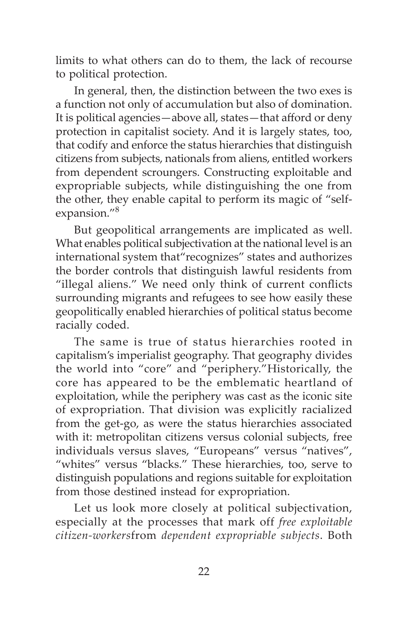limits to what others can do to them, the lack of recourse to political protection.

In general, then, the distinction between the two exes is a function not only of accumulation but also of domination. It is political agencies—above all, states—that afford or deny protection in capitalist society. And it is largely states, too, that codify and enforce the status hierarchies that distinguish citizens from subjects, nationals from aliens, entitled workers from dependent scroungers. Constructing exploitable and expropriable subjects, while distinguishing the one from the other, they enable capital to perform its magic of "selfexpansion."8

But geopolitical arrangements are implicated as well. What enables political subjectivation at the national level is an international system that"recognizes" states and authorizes the border controls that distinguish lawful residents from "illegal aliens." We need only think of current conflicts surrounding migrants and refugees to see how easily these geopolitically enabled hierarchies of political status become racially coded.

The same is true of status hierarchies rooted in capitalism's imperialist geography. That geography divides the world into "core" and "periphery."Historically, the core has appeared to be the emblematic heartland of exploitation, while the periphery was cast as the iconic site of expropriation. That division was explicitly racialized from the get-go, as were the status hierarchies associated with it: metropolitan citizens versus colonial subjects, free individuals versus slaves, "Europeans" versus "natives", "whites" versus "blacks." These hierarchies, too, serve to distinguish populations and regions suitable for exploitation from those destined instead for expropriation.

Let us look more closely at political subjectivation, especially at the processes that mark off *free exploitable citizen-workers*from *dependent expropriable subjects*. Both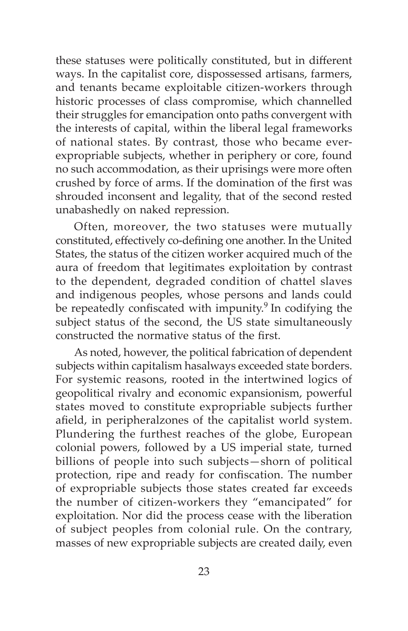these statuses were politically constituted, but in different ways. In the capitalist core, dispossessed artisans, farmers, and tenants became exploitable citizen-workers through historic processes of class compromise, which channelled their struggles for emancipation onto paths convergent with the interests of capital, within the liberal legal frameworks of national states. By contrast, those who became everexpropriable subjects, whether in periphery or core, found no such accommodation, as their uprisings were more often crushed by force of arms. If the domination of the first was shrouded inconsent and legality, that of the second rested unabashedly on naked repression.

Often, moreover, the two statuses were mutually constituted, effectively co-defining one another. In the United States, the status of the citizen worker acquired much of the aura of freedom that legitimates exploitation by contrast to the dependent, degraded condition of chattel slaves and indigenous peoples, whose persons and lands could be repeatedly confiscated with impunity.<sup>9</sup> In codifying the subject status of the second, the US state simultaneously constructed the normative status of the first.

As noted, however, the political fabrication of dependent subjects within capitalism hasalways exceeded state borders. For systemic reasons, rooted in the intertwined logics of geopolitical rivalry and economic expansionism, powerful states moved to constitute expropriable subjects further afield, in peripheralzones of the capitalist world system. Plundering the furthest reaches of the globe, European colonial powers, followed by a US imperial state, turned billions of people into such subjects—shorn of political protection, ripe and ready for confiscation. The number of expropriable subjects those states created far exceeds the number of citizen-workers they "emancipated" for exploitation. Nor did the process cease with the liberation of subject peoples from colonial rule. On the contrary, masses of new expropriable subjects are created daily, even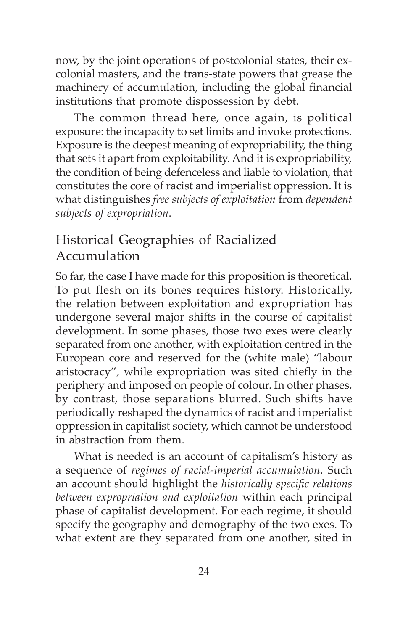now, by the joint operations of postcolonial states, their excolonial masters, and the trans-state powers that grease the machinery of accumulation, including the global financial institutions that promote dispossession by debt.

The common thread here, once again, is political exposure: the incapacity to set limits and invoke protections. Exposure is the deepest meaning of expropriability, the thing that sets it apart from exploitability. And it is expropriability, the condition of being defenceless and liable to violation, that constitutes the core of racist and imperialist oppression. It is what distinguishes *free subjects of exploitation* from *dependent subjects of expropriation*.

#### Historical Geographies of Racialized Accumulation

So far, the case I have made for this proposition is theoretical. To put flesh on its bones requires history. Historically, the relation between exploitation and expropriation has undergone several major shifts in the course of capitalist development. In some phases, those two exes were clearly separated from one another, with exploitation centred in the European core and reserved for the (white male) "labour aristocracy", while expropriation was sited chiefly in the periphery and imposed on people of colour. In other phases, by contrast, those separations blurred. Such shifts have periodically reshaped the dynamics of racist and imperialist oppression in capitalist society, which cannot be understood in abstraction from them.

What is needed is an account of capitalism's history as a sequence of *regimes of racial-imperial accumulation*. Such an account should highlight the *historically specific relations between expropriation and exploitation* within each principal phase of capitalist development. For each regime, it should specify the geography and demography of the two exes. To what extent are they separated from one another, sited in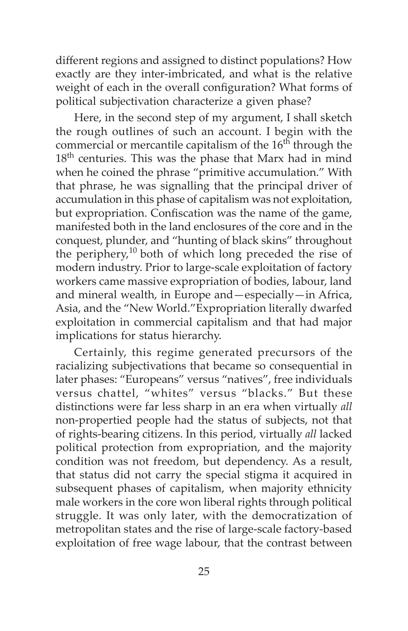different regions and assigned to distinct populations? How exactly are they inter-imbricated, and what is the relative weight of each in the overall configuration? What forms of political subjectivation characterize a given phase?

Here, in the second step of my argument, I shall sketch the rough outlines of such an account. I begin with the commercial or mercantile capitalism of the  $16<sup>th</sup>$  through the 18<sup>th</sup> centuries. This was the phase that Marx had in mind when he coined the phrase "primitive accumulation." With that phrase, he was signalling that the principal driver of accumulation in this phase of capitalism was not exploitation, but expropriation. Confiscation was the name of the game, manifested both in the land enclosures of the core and in the conquest, plunder, and "hunting of black skins" throughout the periphery, $10$  both of which long preceded the rise of modern industry. Prior to large-scale exploitation of factory workers came massive expropriation of bodies, labour, land and mineral wealth, in Europe and—especially—in Africa, Asia, and the "New World."Expropriation literally dwarfed exploitation in commercial capitalism and that had major implications for status hierarchy.

Certainly, this regime generated precursors of the racializing subjectivations that became so consequential in later phases: "Europeans" versus "natives", free individuals versus chattel, "whites" versus "blacks." But these distinctions were far less sharp in an era when virtually *all*  non-propertied people had the status of subjects, not that of rights-bearing citizens. In this period, virtually *all* lacked political protection from expropriation, and the majority condition was not freedom, but dependency. As a result, that status did not carry the special stigma it acquired in subsequent phases of capitalism, when majority ethnicity male workers in the core won liberal rights through political struggle. It was only later, with the democratization of metropolitan states and the rise of large-scale factory-based exploitation of free wage labour, that the contrast between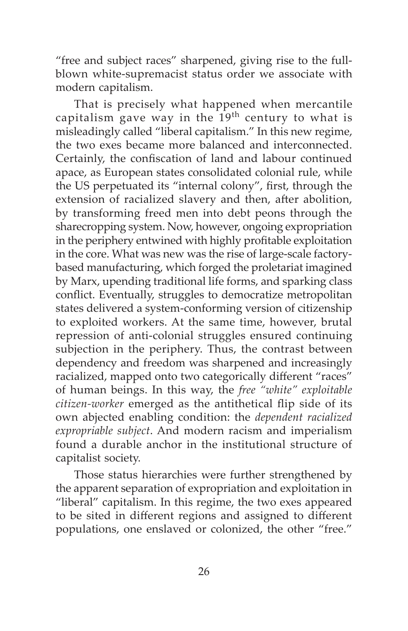"free and subject races" sharpened, giving rise to the fullblown white-supremacist status order we associate with modern capitalism.

That is precisely what happened when mercantile capitalism gave way in the  $19^{th}$  century to what is misleadingly called "liberal capitalism." In this new regime, the two exes became more balanced and interconnected. Certainly, the confiscation of land and labour continued apace, as European states consolidated colonial rule, while the US perpetuated its "internal colony", first, through the extension of racialized slavery and then, after abolition, by transforming freed men into debt peons through the sharecropping system. Now, however, ongoing expropriation in the periphery entwined with highly profitable exploitation in the core. What was new was the rise of large-scale factorybased manufacturing, which forged the proletariat imagined by Marx, upending traditional life forms, and sparking class conflict. Eventually, struggles to democratize metropolitan states delivered a system-conforming version of citizenship to exploited workers. At the same time, however, brutal repression of anti-colonial struggles ensured continuing subjection in the periphery. Thus, the contrast between dependency and freedom was sharpened and increasingly racialized, mapped onto two categorically different "races" of human beings. In this way, the *free "white" exploitable citizen-worker* emerged as the antithetical flip side of its own abjected enabling condition: the *dependent racialized expropriable subject*. And modern racism and imperialism found a durable anchor in the institutional structure of capitalist society.

Those status hierarchies were further strengthened by the apparent separation of expropriation and exploitation in "liberal" capitalism. In this regime, the two exes appeared to be sited in different regions and assigned to different populations, one enslaved or colonized, the other "free."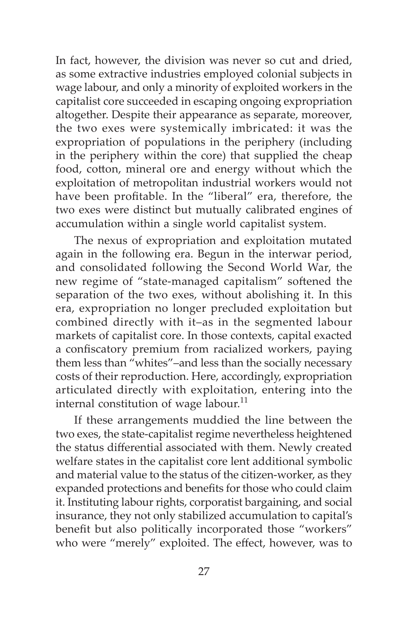In fact, however, the division was never so cut and dried, as some extractive industries employed colonial subjects in wage labour, and only a minority of exploited workers in the capitalist core succeeded in escaping ongoing expropriation altogether. Despite their appearance as separate, moreover, the two exes were systemically imbricated: it was the expropriation of populations in the periphery (including in the periphery within the core) that supplied the cheap food, cotton, mineral ore and energy without which the exploitation of metropolitan industrial workers would not have been profitable. In the "liberal" era, therefore, the two exes were distinct but mutually calibrated engines of accumulation within a single world capitalist system.

The nexus of expropriation and exploitation mutated again in the following era. Begun in the interwar period, and consolidated following the Second World War, the new regime of "state-managed capitalism" softened the separation of the two exes, without abolishing it. In this era, expropriation no longer precluded exploitation but combined directly with it–as in the segmented labour markets of capitalist core. In those contexts, capital exacted a confiscatory premium from racialized workers, paying them less than "whites"–and less than the socially necessary costs of their reproduction. Here, accordingly, expropriation articulated directly with exploitation, entering into the internal constitution of wage labour.<sup>11</sup>

If these arrangements muddied the line between the two exes, the state-capitalist regime nevertheless heightened the status differential associated with them. Newly created welfare states in the capitalist core lent additional symbolic and material value to the status of the citizen-worker, as they expanded protections and benefits for those who could claim it. Instituting labour rights, corporatist bargaining, and social insurance, they not only stabilized accumulation to capital's benefit but also politically incorporated those "workers" who were "merely" exploited. The effect, however, was to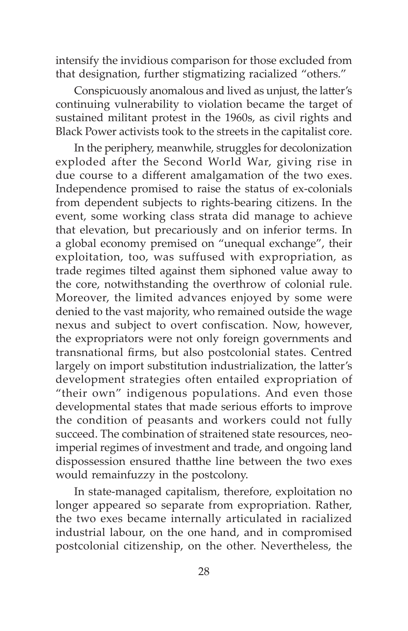intensify the invidious comparison for those excluded from that designation, further stigmatizing racialized "others."

Conspicuously anomalous and lived as unjust, the latter's continuing vulnerability to violation became the target of sustained militant protest in the 1960s, as civil rights and Black Power activists took to the streets in the capitalist core.

In the periphery, meanwhile, struggles for decolonization exploded after the Second World War, giving rise in due course to a different amalgamation of the two exes. Independence promised to raise the status of ex-colonials from dependent subjects to rights-bearing citizens. In the event, some working class strata did manage to achieve that elevation, but precariously and on inferior terms. In a global economy premised on "unequal exchange", their exploitation, too, was suffused with expropriation, as trade regimes tilted against them siphoned value away to the core, notwithstanding the overthrow of colonial rule. Moreover, the limited advances enjoyed by some were denied to the vast majority, who remained outside the wage nexus and subject to overt confiscation. Now, however, the expropriators were not only foreign governments and transnational firms, but also postcolonial states. Centred largely on import substitution industrialization, the latter's development strategies often entailed expropriation of "their own" indigenous populations. And even those developmental states that made serious efforts to improve the condition of peasants and workers could not fully succeed. The combination of straitened state resources, neoimperial regimes of investment and trade, and ongoing land dispossession ensured thatthe line between the two exes would remainfuzzy in the postcolony.

In state-managed capitalism, therefore, exploitation no longer appeared so separate from expropriation. Rather, the two exes became internally articulated in racialized industrial labour, on the one hand, and in compromised postcolonial citizenship, on the other. Nevertheless, the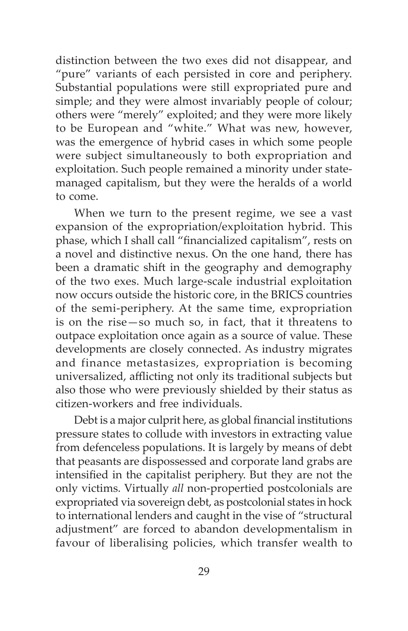distinction between the two exes did not disappear, and "pure" variants of each persisted in core and periphery. Substantial populations were still expropriated pure and simple; and they were almost invariably people of colour; others were "merely" exploited; and they were more likely to be European and "white." What was new, however, was the emergence of hybrid cases in which some people were subject simultaneously to both expropriation and exploitation. Such people remained a minority under statemanaged capitalism, but they were the heralds of a world to come.

When we turn to the present regime, we see a vast expansion of the expropriation/exploitation hybrid. This phase, which I shall call "financialized capitalism", rests on a novel and distinctive nexus. On the one hand, there has been a dramatic shift in the geography and demography of the two exes. Much large-scale industrial exploitation now occurs outside the historic core, in the BRICS countries of the semi-periphery. At the same time, expropriation is on the rise—so much so, in fact, that it threatens to outpace exploitation once again as a source of value. These developments are closely connected. As industry migrates and finance metastasizes, expropriation is becoming universalized, afflicting not only its traditional subjects but also those who were previously shielded by their status as citizen-workers and free individuals.

Debt is a major culprit here, as global financial institutions pressure states to collude with investors in extracting value from defenceless populations. It is largely by means of debt that peasants are dispossessed and corporate land grabs are intensified in the capitalist periphery. But they are not the only victims. Virtually *all* non-propertied postcolonials are expropriated via sovereign debt, as postcolonial states in hock to international lenders and caught in the vise of "structural adjustment" are forced to abandon developmentalism in favour of liberalising policies, which transfer wealth to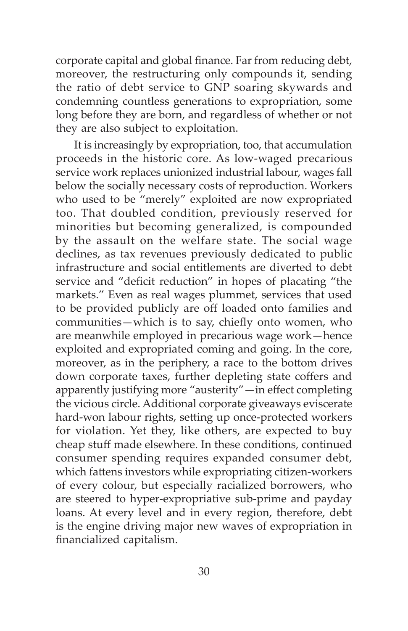corporate capital and global finance. Far from reducing debt, moreover, the restructuring only compounds it, sending the ratio of debt service to GNP soaring skywards and condemning countless generations to expropriation, some long before they are born, and regardless of whether or not they are also subject to exploitation.

It is increasingly by expropriation, too, that accumulation proceeds in the historic core. As low-waged precarious service work replaces unionized industrial labour, wages fall below the socially necessary costs of reproduction. Workers who used to be "merely" exploited are now expropriated too. That doubled condition, previously reserved for minorities but becoming generalized, is compounded by the assault on the welfare state. The social wage declines, as tax revenues previously dedicated to public infrastructure and social entitlements are diverted to debt service and "deficit reduction" in hopes of placating "the markets." Even as real wages plummet, services that used to be provided publicly are off loaded onto families and communities—which is to say, chiefly onto women, who are meanwhile employed in precarious wage work—hence exploited and expropriated coming and going. In the core, moreover, as in the periphery, a race to the bottom drives down corporate taxes, further depleting state coffers and apparently justifying more "austerity"—in effect completing the vicious circle. Additional corporate giveaways eviscerate hard-won labour rights, setting up once-protected workers for violation. Yet they, like others, are expected to buy cheap stuff made elsewhere. In these conditions, continued consumer spending requires expanded consumer debt, which fattens investors while expropriating citizen-workers of every colour, but especially racialized borrowers, who are steered to hyper-expropriative sub-prime and payday loans. At every level and in every region, therefore, debt is the engine driving major new waves of expropriation in financialized capitalism.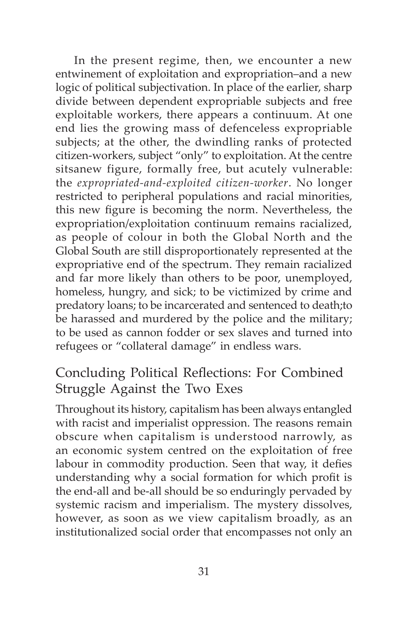In the present regime, then, we encounter a new entwinement of exploitation and expropriation–and a new logic of political subjectivation. In place of the earlier, sharp divide between dependent expropriable subjects and free exploitable workers, there appears a continuum. At one end lies the growing mass of defenceless expropriable subjects; at the other, the dwindling ranks of protected citizen-workers, subject "only" to exploitation. At the centre sitsanew figure, formally free, but acutely vulnerable: the *expropriated-and-exploited citizen-worker*. No longer restricted to peripheral populations and racial minorities, this new figure is becoming the norm. Nevertheless, the expropriation/exploitation continuum remains racialized, as people of colour in both the Global North and the Global South are still disproportionately represented at the expropriative end of the spectrum. They remain racialized and far more likely than others to be poor, unemployed, homeless, hungry, and sick; to be victimized by crime and predatory loans; to be incarcerated and sentenced to death;to be harassed and murdered by the police and the military; to be used as cannon fodder or sex slaves and turned into refugees or "collateral damage" in endless wars.

### Concluding Political Reflections: For Combined Struggle Against the Two Exes

Throughout its history, capitalism has been always entangled with racist and imperialist oppression. The reasons remain obscure when capitalism is understood narrowly, as an economic system centred on the exploitation of free labour in commodity production. Seen that way, it defies understanding why a social formation for which profit is the end-all and be-all should be so enduringly pervaded by systemic racism and imperialism. The mystery dissolves, however, as soon as we view capitalism broadly, as an institutionalized social order that encompasses not only an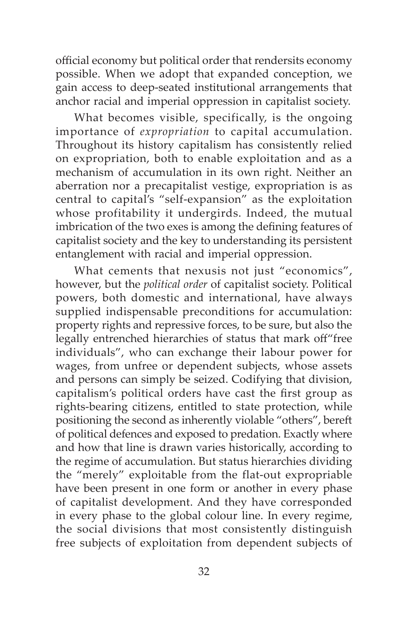official economy but political order that rendersits economy possible. When we adopt that expanded conception, we gain access to deep-seated institutional arrangements that anchor racial and imperial oppression in capitalist society.

What becomes visible, specifically, is the ongoing importance of *expropriation* to capital accumulation. Throughout its history capitalism has consistently relied on expropriation, both to enable exploitation and as a mechanism of accumulation in its own right. Neither an aberration nor a precapitalist vestige, expropriation is as central to capital's "self-expansion" as the exploitation whose profitability it undergirds. Indeed, the mutual imbrication of the two exes is among the defining features of capitalist society and the key to understanding its persistent entanglement with racial and imperial oppression.

What cements that nexusis not just "economics", however, but the *political order* of capitalist society. Political powers, both domestic and international, have always supplied indispensable preconditions for accumulation: property rights and repressive forces, to be sure, but also the legally entrenched hierarchies of status that mark off"free individuals", who can exchange their labour power for wages, from unfree or dependent subjects, whose assets and persons can simply be seized. Codifying that division, capitalism's political orders have cast the first group as rights-bearing citizens, entitled to state protection, while positioning the second as inherently violable "others", bereft of political defences and exposed to predation. Exactly where and how that line is drawn varies historically, according to the regime of accumulation. But status hierarchies dividing the "merely" exploitable from the flat-out expropriable have been present in one form or another in every phase of capitalist development. And they have corresponded in every phase to the global colour line. In every regime, the social divisions that most consistently distinguish free subjects of exploitation from dependent subjects of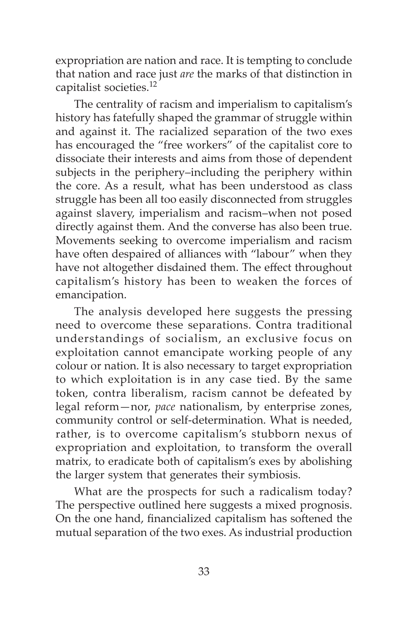expropriation are nation and race. It is tempting to conclude that nation and race just *are* the marks of that distinction in capitalist societies.<sup>12</sup>

The centrality of racism and imperialism to capitalism's history has fatefully shaped the grammar of struggle within and against it. The racialized separation of the two exes has encouraged the "free workers" of the capitalist core to dissociate their interests and aims from those of dependent subjects in the periphery–including the periphery within the core. As a result, what has been understood as class struggle has been all too easily disconnected from struggles against slavery, imperialism and racism–when not posed directly against them. And the converse has also been true. Movements seeking to overcome imperialism and racism have often despaired of alliances with "labour" when they have not altogether disdained them. The effect throughout capitalism's history has been to weaken the forces of emancipation.

The analysis developed here suggests the pressing need to overcome these separations. Contra traditional understandings of socialism, an exclusive focus on exploitation cannot emancipate working people of any colour or nation. It is also necessary to target expropriation to which exploitation is in any case tied. By the same token, contra liberalism, racism cannot be defeated by legal reform—nor, *pace* nationalism, by enterprise zones, community control or self-determination. What is needed, rather, is to overcome capitalism's stubborn nexus of expropriation and exploitation, to transform the overall matrix, to eradicate both of capitalism's exes by abolishing the larger system that generates their symbiosis.

What are the prospects for such a radicalism today? The perspective outlined here suggests a mixed prognosis. On the one hand, financialized capitalism has softened the mutual separation of the two exes. As industrial production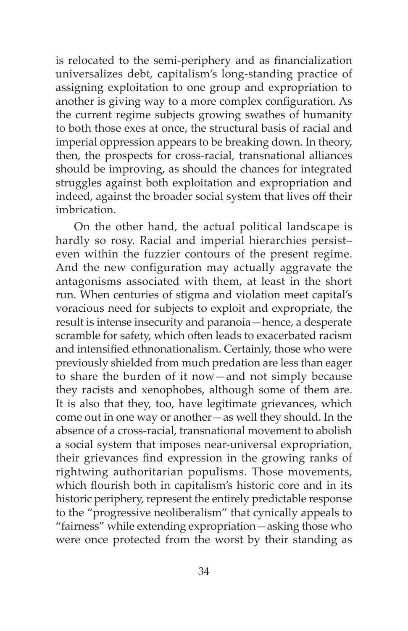is relocated to the semi-periphery and as financialization universalizes debt, capitalism's long-standing practice of assigning exploitation to one group and expropriation to another is giving way to a more complex configuration. As the current regime subjects growing swathes of humanity to both those exes at once, the structural basis of racial and imperial oppression appears to be breaking down. In theory, then, the prospects for cross-racial, transnational alliances should be improving, as should the chances for integrated struggles against both exploitation and expropriation and indeed, against the broader social system that lives off their imbrication.

On the other hand, the actual political landscape is hardly so rosy. Racial and imperial hierarchies persist– even within the fuzzier contours of the present regime. And the new configuration may actually aggravate the antagonisms associated with them, at least in the short run. When centuries of stigma and violation meet capital's voracious need for subjects to exploit and expropriate, the result is intense insecurity and paranoia—hence, a desperate scramble for safety, which often leads to exacerbated racism and intensified ethnonationalism. Certainly, those who were previously shielded from much predation are less than eager to share the burden of it now—and not simply because they racists and xenophobes, although some of them are. It is also that they, too, have legitimate grievances, which come out in one way or another—as well they should. In the absence of a cross-racial, transnational movement to abolish a social system that imposes near-universal expropriation, their grievances find expression in the growing ranks of rightwing authoritarian populisms. Those movements, which flourish both in capitalism's historic core and in its historic periphery, represent the entirely predictable response to the "progressive neoliberalism" that cynically appeals to "fairness" while extending expropriation—asking those who were once protected from the worst by their standing as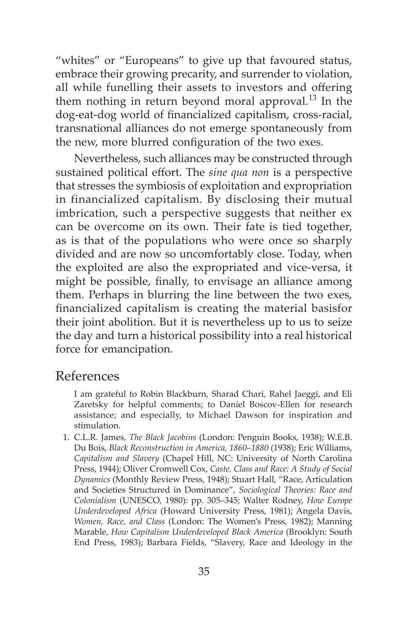"whites" or "Europeans" to give up that favoured status, embrace their growing precarity, and surrender to violation, all while funelling their assets to investors and offering them nothing in return beyond moral approval.<sup>13</sup> In the dog-eat-dog world of financialized capitalism, cross-racial, transnational alliances do not emerge spontaneously from the new, more blurred configuration of the two exes.

Nevertheless, such alliances may be constructed through sustained political effort. The *sine qua non* is a perspective that stresses the symbiosis of exploitation and expropriation in financialized capitalism. By disclosing their mutual imbrication, such a perspective suggests that neither ex can be overcome on its own. Their fate is tied together, as is that of the populations who were once so sharply divided and are now so uncomfortably close. Today, when the exploited are also the expropriated and vice-versa, it might be possible, finally, to envisage an alliance among them. Perhaps in blurring the line between the two exes, financialized capitalism is creating the material basisfor their joint abolition. But it is nevertheless up to us to seize the day and turn a historical possibility into a real historical force for emancipation.

#### References

 I am grateful to Robin Blackburn, Sharad Chari, Rahel Jaeggi, and Eli Zaretsky for helpful comments; to Daniel Boscov-Ellen for research assistance; and especially, to Michael Dawson for inspiration and stimulation.

1. C.L.R. James, *The Black Jacobins* (London: Penguin Books, 1938); W.E.B. Du Bois, *Black Reconstruction in America, 1860–1880* (1938); Eric Williams, *Capitalism and Slavery* (Chapel Hill, NC: University of North Carolina Press, 1944); Oliver Cromwell Cox, *Caste, Class and Race: A Study of Social Dynamics* (Monthly Review Press, 1948); Stuart Hall, "Race, Articulation and Societies Structured in Dominance", *Sociological Theories: Race and Colonialism* (UNESCO, 1980): pp. 305–345; Walter Rodney, *How Europe Underdeveloped Africa* (Howard University Press, 1981); Angela Davis, *Women, Race, and Class* (London: The Women's Press, 1982); Manning Marable, *How Capitalism Underdeveloped Black America* (Brooklyn: South End Press, 1983); Barbara Fields, "Slavery, Race and Ideology in the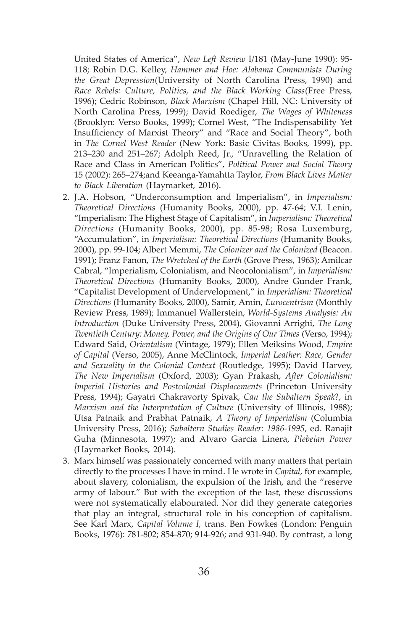United States of America", *New Left Review* I/181 (May-June 1990): 95- 118; Robin D.G. Kelley, *Hammer and Hoe: Alabama Communists During the Great Depression*(University of North Carolina Press, 1990) and *Race Rebels: Culture, Politics, and the Black Working Class*(Free Press, 1996); Cedric Robinson, *Black Marxism* (Chapel Hill, NC: University of North Carolina Press, 1999); David Roediger, *The Wages of Whiteness* (Brooklyn: Verso Books, 1999); Cornel West, "The Indispensability Yet Insufficiency of Marxist Theory" and "Race and Social Theory", both in *The Cornel West Reader* (New York: Basic Civitas Books, 1999), pp. 213–230 and 251–267; Adolph Reed, Jr., "Unravelling the Relation of Race and Class in American Politics", *Political Power and Social Theory* 15 (2002): 265–274;and Keeanga-Yamahtta Taylor, *From Black Lives Matter to Black Liberation* (Haymarket, 2016).

- 2. J.A. Hobson, "Underconsumption and Imperialism", in *Imperialism: Theoretical Directions* (Humanity Books, 2000), pp. 47-64; V.I. Lenin, "Imperialism: The Highest Stage of Capitalism", in *Imperialism: Theoretical Directions* (Humanity Books, 2000), pp. 85-98; Rosa Luxemburg, "Accumulation", in *Imperialism: Theoretical Directions* (Humanity Books, 2000), pp. 99-104; Albert Memmi, *The Colonizer and the Colonized* (Beacon. 1991); Franz Fanon, *The Wretched of the Earth* (Grove Press, 1963); Amilcar Cabral, "Imperialism, Colonialism, and Neocolonialism", in *Imperialism: Theoretical Directions* (Humanity Books, 2000), Andre Gunder Frank, "Capitalist Development of Undervelopment," in *Imperialism: Theoretical Directions* (Humanity Books, 2000), Samir, Amin, *Eurocentrism* (Monthly Review Press, 1989); Immanuel Wallerstein, *World-Systems Analysis: An Introduction* (Duke University Press, 2004), Giovanni Arrighi, *The Long Twentieth Century: Money, Power, and the Origins of Our Times* (Verso, 1994); Edward Said, *Orientalism* (Vintage, 1979); Ellen Meiksins Wood, *Empire of Capital* (Verso, 2005), Anne McClintock, *Imperial Leather: Race, Gender and Sexuality in the Colonial Context* (Routledge, 1995); David Harvey, *The New Imperialism* (Oxford, 2003); Gyan Prakash, *After Colonialism: Imperial Histories and Postcolonial Displacements* (Princeton University Press, 1994); Gayatri Chakravorty Spivak, *Can the Subaltern Speak*?, in *Marxism and the Interpretation of Culture* (University of Illinois, 1988); Utsa Patnaik and Prabhat Patnaik, *A Theory of Imperialism* (Columbia University Press, 2016); *Subaltern Studies Reader: 1986-1995*, ed. Ranajit Guha (Minnesota, 1997); and Alvaro Garcia Linera, *Plebeian Power* (Haymarket Books, 2014).
- 3. Marx himself was passionately concerned with many matters that pertain directly to the processes I have in mind. He wrote in *Capital*, for example, about slavery, colonialism, the expulsion of the Irish, and the "reserve army of labour." But with the exception of the last, these discussions were not systematically elabourated. Nor did they generate categories that play an integral, structural role in his conception of capitalism. See Karl Marx, *Capital Volume I,* trans. Ben Fowkes (London: Penguin Books, 1976): 781-802; 854-870; 914-926; and 931-940. By contrast, a long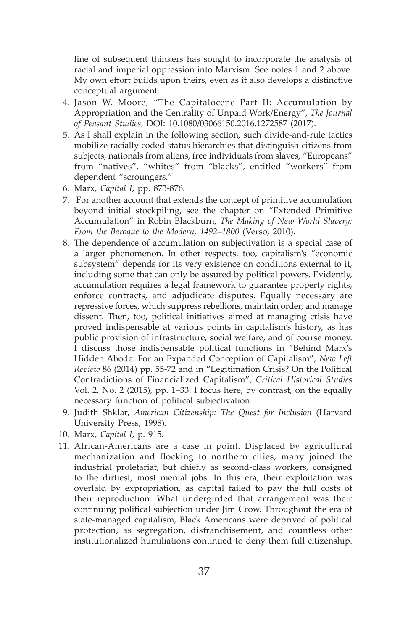line of subsequent thinkers has sought to incorporate the analysis of racial and imperial oppression into Marxism. See notes 1 and 2 above. My own effort builds upon theirs, even as it also develops a distinctive conceptual argument.

- 4. Jason W. Moore, "The Capitalocene Part II: Accumulation by Appropriation and the Centrality of Unpaid Work/Energy", *The Journal of Peasant Studies*, DOI: 10.1080/03066150.2016.1272587 (2017).
- 5. As I shall explain in the following section, such divide-and-rule tactics mobilize racially coded status hierarchies that distinguish citizens from subjects, nationals from aliens, free individuals from slaves, "Europeans" from "natives", "whites" from "blacks", entitled "workers" from dependent "scroungers."
- 6. Marx, *Capital I*, pp. 873-876.
- 7. For another account that extends the concept of primitive accumulation beyond initial stockpiling, see the chapter on "Extended Primitive Accumulation" in Robin Blackburn, *The Making of New World Slavery: From the Baroque to the Modern, 1492–1800* (Verso, 2010).
- 8. The dependence of accumulation on subjectivation is a special case of a larger phenomenon. In other respects, too, capitalism's "economic subsystem" depends for its very existence on conditions external to it, including some that can only be assured by political powers. Evidently, accumulation requires a legal framework to guarantee property rights, enforce contracts, and adjudicate disputes. Equally necessary are repressive forces, which suppress rebellions, maintain order, and manage dissent. Then, too, political initiatives aimed at managing crisis have proved indispensable at various points in capitalism's history, as has public provision of infrastructure, social welfare, and of course money. I discuss those indispensable political functions in "Behind Marx's Hidden Abode: For an Expanded Conception of Capitalism", *New Left Review* 86 (2014) pp. 55-72 and in "Legitimation Crisis? On the Political Contradictions of Financialized Capitalism", *Critical Historical Studies*  Vol. 2, No. 2 (2015), pp. 1–33. I focus here, by contrast, on the equally necessary function of political subjectivation.
- 9. Judith Shklar, *American Citizenship: The Quest for Inclusion* (Harvard University Press, 1998).
- 10. Marx, *Capital I*, p. 915.
- 11. African-Americans are a case in point. Displaced by agricultural mechanization and flocking to northern cities, many joined the industrial proletariat, but chiefly as second-class workers, consigned to the dirtiest, most menial jobs. In this era, their exploitation was overlaid by expropriation, as capital failed to pay the full costs of their reproduction. What undergirded that arrangement was their continuing political subjection under Jim Crow. Throughout the era of state-managed capitalism, Black Americans were deprived of political protection, as segregation, disfranchisement, and countless other institutionalized humiliations continued to deny them full citizenship.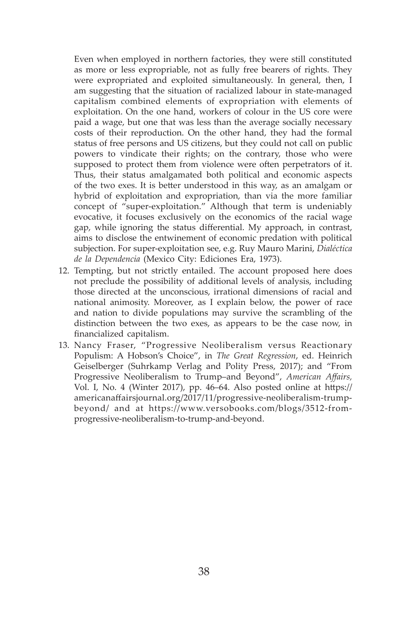Even when employed in northern factories, they were still constituted as more or less expropriable, not as fully free bearers of rights. They were expropriated and exploited simultaneously. In general, then, I am suggesting that the situation of racialized labour in state-managed capitalism combined elements of expropriation with elements of exploitation. On the one hand, workers of colour in the US core were paid a wage, but one that was less than the average socially necessary costs of their reproduction. On the other hand, they had the formal status of free persons and US citizens, but they could not call on public powers to vindicate their rights; on the contrary, those who were supposed to protect them from violence were often perpetrators of it. Thus, their status amalgamated both political and economic aspects of the two exes. It is better understood in this way, as an amalgam or hybrid of exploitation and expropriation, than via the more familiar concept of "super-exploitation." Although that term is undeniably evocative, it focuses exclusively on the economics of the racial wage gap, while ignoring the status differential. My approach, in contrast, aims to disclose the entwinement of economic predation with political subjection. For super-exploitation see, e.g. Ruy Mauro Marini, *Dialéctica de la Dependencia* (Mexico City: Ediciones Era, 1973).

- 12. Tempting, but not strictly entailed. The account proposed here does not preclude the possibility of additional levels of analysis, including those directed at the unconscious, irrational dimensions of racial and national animosity. Moreover, as I explain below, the power of race and nation to divide populations may survive the scrambling of the distinction between the two exes, as appears to be the case now, in financialized capitalism.
- 13. Nancy Fraser, "Progressive Neoliberalism versus Reactionary Populism: A Hobson's Choice", in *The Great Regression*, ed. Heinrich Geiselberger (Suhrkamp Verlag and Polity Press, 2017); and "From Progressive Neoliberalism to Trump–and Beyond", *American Affairs,*  Vol. I, No. 4 (Winter 2017), pp. 46–64. Also posted online at https:// americanaffairsjournal.org/2017/11/progressive-neoliberalism-trumpbeyond/ and at https://www.versobooks.com/blogs/3512-fromprogressive-neoliberalism-to-trump-and-beyond.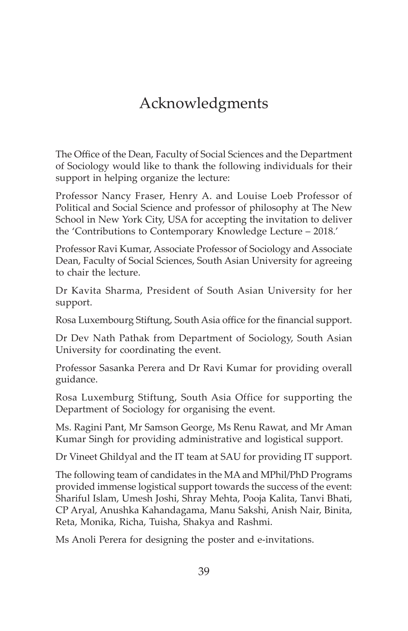# Acknowledgments

The Office of the Dean, Faculty of Social Sciences and the Department of Sociology would like to thank the following individuals for their support in helping organize the lecture:

Professor Nancy Fraser, Henry A. and Louise Loeb Professor of Political and Social Science and professor of philosophy at The New School in New York City, USA for accepting the invitation to deliver the 'Contributions to Contemporary Knowledge Lecture – 2018.'

Professor Ravi Kumar, Associate Professor of Sociology and Associate Dean, Faculty of Social Sciences, South Asian University for agreeing to chair the lecture.

Dr Kavita Sharma, President of South Asian University for her support.

Rosa Luxembourg Stiftung, South Asia office for the financial support.

Dr Dev Nath Pathak from Department of Sociology, South Asian University for coordinating the event.

Professor Sasanka Perera and Dr Ravi Kumar for providing overall guidance.

Rosa Luxemburg Stiftung, South Asia Office for supporting the Department of Sociology for organising the event.

Ms. Ragini Pant, Mr Samson George, Ms Renu Rawat, and Mr Aman Kumar Singh for providing administrative and logistical support.

Dr Vineet Ghildyal and the IT team at SAU for providing IT support.

The following team of candidates in the MA and MPhil/PhD Programs provided immense logistical support towards the success of the event: Shariful Islam, Umesh Joshi, Shray Mehta, Pooja Kalita, Tanvi Bhati, CP Aryal, Anushka Kahandagama, Manu Sakshi, Anish Nair, Binita, Reta, Monika, Richa, Tuisha, Shakya and Rashmi.

Ms Anoli Perera for designing the poster and e-invitations.